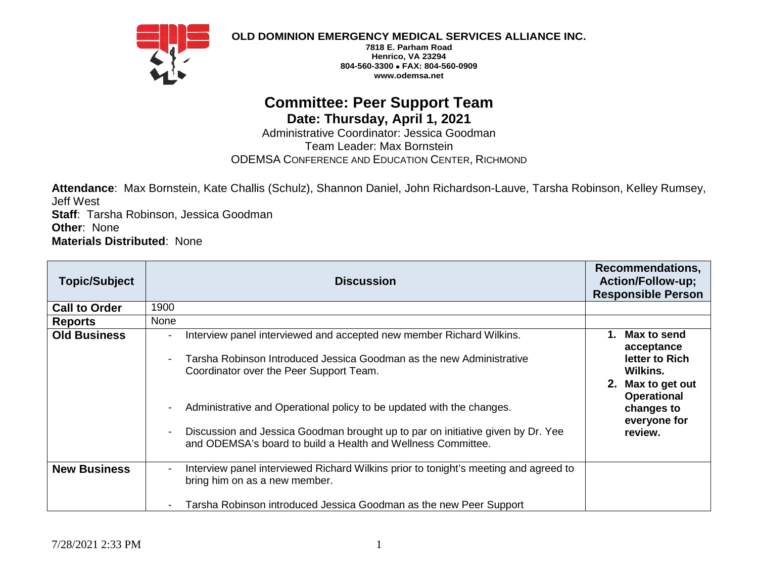

**OLD DOMINION EMERGENCY MEDICAL SERVICES ALLIANCE INC.**

**7818 E. Parham Road Henrico, VA 23294 804-560-3300** • **FAX: 804-560-0909 www.odemsa.net**

## **Committee: Peer Support Team Date: Thursday, April 1, 2021**

Administrative Coordinator: Jessica Goodman Team Leader: Max Bornstein ODEMSA CONFERENCE AND EDUCATION CENTER, RICHMOND

**Attendance**: Max Bornstein, Kate Challis (Schulz), Shannon Daniel, John Richardson-Lauve, Tarsha Robinson, Kelley Rumsey, Jeff West **Staff**: Tarsha Robinson, Jessica Goodman **Other**: None **Materials Distributed**: None

| <b>Topic/Subject</b> | <b>Discussion</b>                                                                                                                                                                       | <b>Recommendations,</b><br><b>Action/Follow-up;</b><br><b>Responsible Person</b> |
|----------------------|-----------------------------------------------------------------------------------------------------------------------------------------------------------------------------------------|----------------------------------------------------------------------------------|
| <b>Call to Order</b> | 1900                                                                                                                                                                                    |                                                                                  |
| <b>Reports</b>       | None                                                                                                                                                                                    |                                                                                  |
| <b>Old Business</b>  | Interview panel interviewed and accepted new member Richard Wilkins.<br>Tarsha Robinson Introduced Jessica Goodman as the new Administrative<br>Coordinator over the Peer Support Team. | 1. Max to send<br>acceptance<br>letter to Rich<br>Wilkins.                       |
|                      | Administrative and Operational policy to be updated with the changes.                                                                                                                   | 2. Max to get out<br><b>Operational</b><br>changes to<br>everyone for            |
|                      | Discussion and Jessica Goodman brought up to par on initiative given by Dr. Yee<br>and ODEMSA's board to build a Health and Wellness Committee.                                         | review.                                                                          |
| <b>New Business</b>  | Interview panel interviewed Richard Wilkins prior to tonight's meeting and agreed to<br>bring him on as a new member.                                                                   |                                                                                  |
|                      | Tarsha Robinson introduced Jessica Goodman as the new Peer Support                                                                                                                      |                                                                                  |